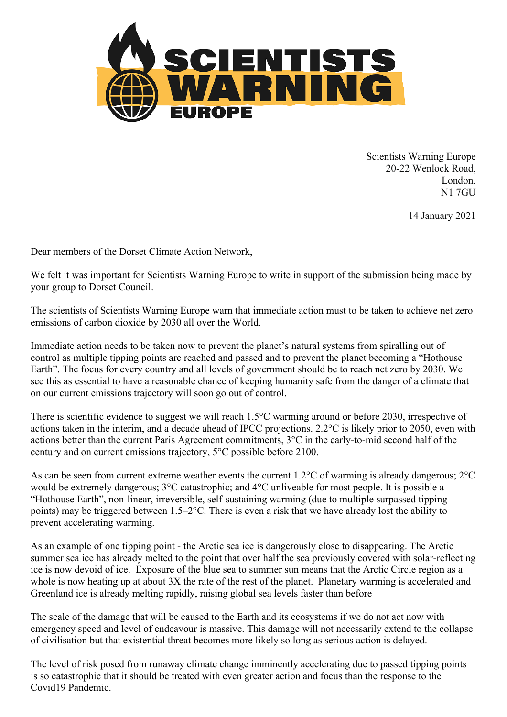

Scientists Warning Europe 20-22 Wenlock Road, London, N1 7GU

14 January 2021

Dear members of the Dorset Climate Action Network,

We felt it was important for Scientists Warning Europe to write in support of the submission being made by your group to Dorset Council.

The scientists of Scientists Warning Europe warn that immediate action must to be taken to achieve net zero emissions of carbon dioxide by 2030 all over the World.

Immediate action needs to be taken now to prevent the planet's natural systems from spiralling out of control as multiple tipping points are reached and passed and to prevent the planet becoming a "Hothouse Earth". The focus for every country and all levels of government should be to reach net zero by 2030. We see this as essential to have a reasonable chance of keeping humanity safe from the danger of a climate that on our current emissions trajectory will soon go out of control.

There is scientific evidence to suggest we will reach 1.5°C warming around or before 2030, irrespective of actions taken in the interim, and a decade ahead of IPCC projections. 2.2°C is likely prior to 2050, even with actions better than the current Paris Agreement commitments, 3°C in the early-to-mid second half of the century and on current emissions trajectory, 5°C possible before 2100.

As can be seen from current extreme weather events the current 1.2°C of warming is already dangerous; 2°C would be extremely dangerous; 3°C catastrophic; and 4°C unliveable for most people. It is possible a "Hothouse Earth", non-linear, irreversible, self-sustaining warming (due to multiple surpassed tipping points) may be triggered between 1.5–2°C. There is even a risk that we have already lost the ability to prevent accelerating warming.

As an example of one tipping point - the Arctic sea ice is dangerously close to disappearing. The Arctic summer sea ice has already melted to the point that over half the sea previously covered with solar-reflecting ice is now devoid of ice. Exposure of the blue sea to summer sun means that the Arctic Circle region as a whole is now heating up at about 3X the rate of the rest of the planet. Planetary warming is accelerated and Greenland ice is already melting rapidly, raising global sea levels faster than before

The scale of the damage that will be caused to the Earth and its ecosystems if we do not act now with emergency speed and level of endeavour is massive. This damage will not necessarily extend to the collapse of civilisation but that existential threat becomes more likely so long as serious action is delayed.

The level of risk posed from runaway climate change imminently accelerating due to passed tipping points is so catastrophic that it should be treated with even greater action and focus than the response to the Covid19 Pandemic.